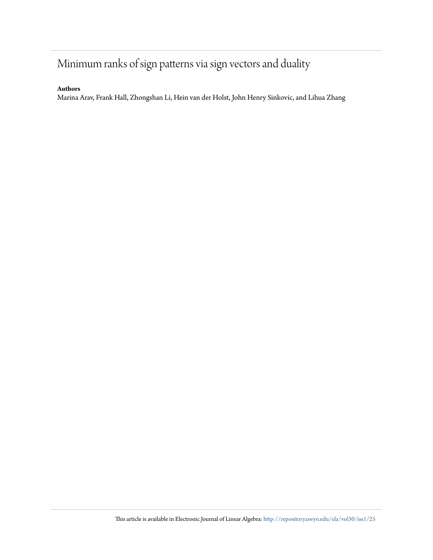# Minimum ranks of sign patterns via sign vectors and duality

## **Authors**

Marina Arav, Frank Hall, Zhongshan Li, Hein van der Holst, John Henry Sinkovic, and Lihua Zhang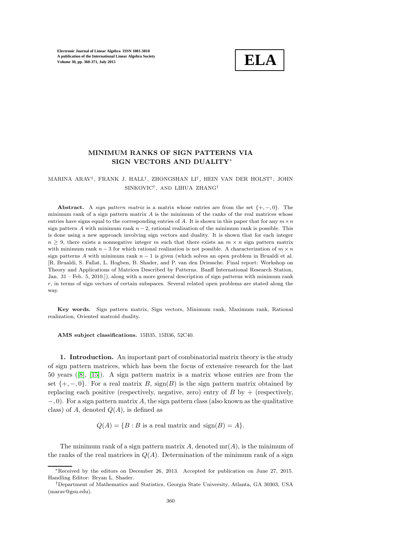

### MINIMUM RANKS OF SIGN PATTERNS VIA SIGN VECTORS AND DUALITY<sup>∗</sup>

#### MARINA ARAV† , FRANK J. HALL† , ZHONGSHAN LI† , HEIN VAN DER HOLST† , JOHN SINKOVIC† , AND LIHUA ZHANG†

Abstract. A sign pattern matrix is a matrix whose entries are from the set  $\{+,-,0\}$ . The minimum rank of a sign pattern matrix  $A$  is the minimum of the ranks of the real matrices whose entries have signs equal to the corresponding entries of A. It is shown in this paper that for any  $m \times n$ sign pattern A with minimum rank  $n-2$ , rational realization of the minimum rank is possible. This is done using a new approach involving sign vectors and duality. It is shown that for each integer  $n \geq 9$ , there exists a nonnegative integer m such that there exists an  $m \times n$  sign pattern matrix with minimum rank  $n-3$  for which rational realization is not possible. A characterization of  $m \times n$ sign patterns A with minimum rank  $n - 1$  is given (which solves an open problem in Brualdi et al. [R. Brualdi, S. Fallat, L. Hogben, B. Shader, and P. van den Driessche. Final report: Workshop on Theory and Applications of Matrices Described by Patterns. Banff International Research Station, Jan. 31 – Feb. 5, 2010.]), along with a more general description of sign patterns with minimum rank  $r$ , in terms of sign vectors of certain subspaces. Several related open problems are stated along the way.

Key words. Sign pattern matrix, Sign vectors, Minimum rank, Maximum rank, Rational realization, Oriented matroid duality.

AMS subject classifications. 15B35, 15B36, 52C40.

1. Introduction. An important part of combinatorial matrix theory is the study of sign pattern matrices, which has been the focus of extensive research for the last 50 years ([\[8\]](#page-11-0), [\[15\]](#page-12-0)). A sign pattern matrix is a matrix whose entries are from the set  $\{+,-,0\}$ . For a real matrix B, sign(B) is the sign pattern matrix obtained by replacing each positive (respectively, negative, zero) entry of  $B$  by  $+$  (respectively,  $-$ , 0). For a sign pattern matrix A, the sign pattern class (also known as the qualitative class) of A, denoted  $Q(A)$ , is defined as

 $Q(A) = {B : B$  is a real matrix and  $sign(B) = A}.$ 

The minimum rank of a sign pattern matrix  $A$ , denoted  $mr(A)$ , is the minimum of the ranks of the real matrices in  $Q(A)$ . Determination of the minimum rank of a sign

<sup>∗</sup>Received by the editors on December 26, 2013. Accepted for publication on June 27, 2015. Handling Editor: Bryan L. Shader.

<sup>†</sup>Department of Mathematics and Statistics, Georgia State University, Atlanta, GA 30303, USA (marav@gsu.edu).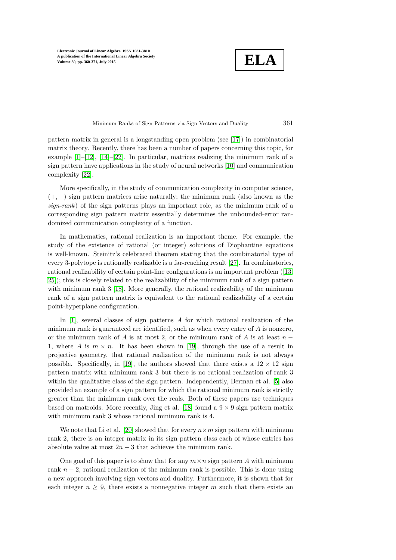**ELA**

Minimum Ranks of Sign Patterns via Sign Vectors and Duality 361

pattern matrix in general is a longstanding open problem (see [\[17\]](#page-12-1)) in combinatorial matrix theory. Recently, there has been a number of papers concerning this topic, for example  $[1]-[12]$  $[1]-[12]$ ,  $[14]-[22]$  $[14]-[22]$ . In particular, matrices realizing the minimum rank of a sign pattern have applications in the study of neural networks [\[10\]](#page-11-4) and communication complexity [\[22\]](#page-12-2).

More specifically, in the study of communication complexity in computer science,  $(+,-)$  sign pattern matrices arise naturally; the minimum rank (also known as the *sign-rank*) of the sign patterns plays an important role, as the minimum rank of a corresponding sign pattern matrix essentially determines the unbounded-error randomized communication complexity of a function.

In mathematics, rational realization is an important theme. For example, the study of the existence of rational (or integer) solutions of Diophantine equations is well-known. Steinitz's celebrated theorem stating that the combinatorial type of every 3-polytope is rationally realizable is a far-reaching result [\[27\]](#page-12-3). In combinatorics, rational realizability of certain point-line configurations is an important problem ([\[13,](#page-11-5) [25\]](#page-12-4)); this is closely related to the realizability of the minimum rank of a sign pattern with minimum rank 3 [\[18\]](#page-12-5). More generally, the rational realizability of the minimum rank of a sign pattern matrix is equivalent to the rational realizability of a certain point-hyperplane configuration.

In [\[1\]](#page-11-1), several classes of sign patterns A for which rational realization of the minimum rank is guaranteed are identified, such as when every entry of  $A$  is nonzero, or the minimum rank of A is at most 2, or the minimum rank of A is at least  $n -$ 1, where A is  $m \times n$ . It has been shown in [\[19\]](#page-12-6), through the use of a result in projective geometry, that rational realization of the minimum rank is not always possible. Specifically, in [\[19\]](#page-12-6), the authors showed that there exists a  $12 \times 12$  sign pattern matrix with minimum rank 3 but there is no rational realization of rank 3 within the qualitative class of the sign pattern. Independently, Berman et al. [\[5\]](#page-11-6) also provided an example of a sign pattern for which the rational minimum rank is strictly greater than the minimum rank over the reals. Both of these papers use techniques based on matroids. More recently, Jing et al. [\[18\]](#page-12-5) found a  $9 \times 9$  sign pattern matrix with minimum rank 3 whose rational minimum rank is 4.

We note that Li et al. [\[20\]](#page-12-7) showed that for every  $n \times m$  sign pattern with minimum rank 2, there is an integer matrix in its sign pattern class each of whose entries has absolute value at most  $2n - 3$  that achieves the minimum rank.

One goal of this paper is to show that for any  $m \times n$  sign pattern A with minimum rank  $n-2$ , rational realization of the minimum rank is possible. This is done using a new approach involving sign vectors and duality. Furthermore, it is shown that for each integer  $n \geq 9$ , there exists a nonnegative integer m such that there exists an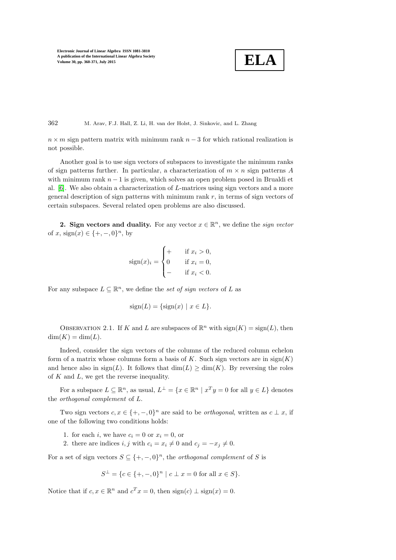$$
\boxed{\textbf{ELA}}
$$

362 M. Arav, F.J. Hall, Z. Li, H. van der Holst, J. Sinkovic, and L. Zhang

 $n \times m$  sign pattern matrix with minimum rank  $n-3$  for which rational realization is not possible.

Another goal is to use sign vectors of subspaces to investigate the minimum ranks of sign patterns further. In particular, a characterization of  $m \times n$  sign patterns A with minimum rank  $n - 1$  is given, which solves an open problem posed in Brualdi et al. [\[6\]](#page-11-7). We also obtain a characterization of L-matrices using sign vectors and a more general description of sign patterns with minimum rank  $r$ , in terms of sign vectors of certain subspaces. Several related open problems are also discussed.

**2. Sign vectors and duality.** For any vector  $x \in \mathbb{R}^n$ , we define the *sign vector* of x, sign(x)  $\in \{+, -, 0\}^n$ , by

$$
sign(x)_i = \begin{cases} + & \text{if } x_i > 0, \\ 0 & \text{if } x_i = 0, \\ - & \text{if } x_i < 0. \end{cases}
$$

For any subspace  $L \subseteq \mathbb{R}^n$ , we define the *set of sign vectors* of L as

$$
sign(L) = {sign(x) | x \in L}.
$$

<span id="page-3-0"></span>OBSERVATION 2.1. If K and L are subspaces of  $\mathbb{R}^n$  with  $sign(K) = sign(L)$ , then  $dim(K) = dim(L)$ .

Indeed, consider the sign vectors of the columns of the reduced column echelon form of a matrix whose columns form a basis of K. Such sign vectors are in  $sign(K)$ and hence also in sign(L). It follows that  $\dim(L) \geq \dim(K)$ . By reversing the roles of  $K$  and  $L$ , we get the reverse inequality.

For a subspace  $L \subseteq \mathbb{R}^n$ , as usual,  $L^{\perp} = \{x \in \mathbb{R}^n \mid x^T y = 0 \text{ for all } y \in L\}$  denotes the *orthogonal complement* of L.

Two sign vectors  $c, x \in \{+, -, 0\}^n$  are said to be *orthogonal*, written as  $c \perp x$ , if one of the following two conditions holds:

- 1. for each i, we have  $c_i = 0$  or  $x_i = 0$ , or
- 2. there are indices  $i, j$  with  $c_i = x_i \neq 0$  and  $c_j = -x_j \neq 0$ .

For a set of sign vectors  $S \subseteq \{+, -, 0\}^n$ , the *orthogonal complement* of S is

$$
S^{\perp} = \{c \in \{+, -, 0\}^n \mid c \perp x = 0 \text{ for all } x \in S\}.
$$

Notice that if  $c, x \in \mathbb{R}^n$  and  $c^T x = 0$ , then  $sign(c) \perp sign(x) = 0$ .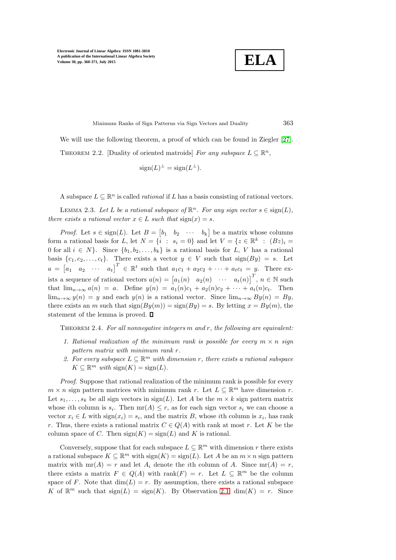$$
\boxed{\textbf{ELA}}
$$

Minimum Ranks of Sign Patterns via Sign Vectors and Duality 363

<span id="page-4-1"></span>We will use the following theorem, a proof of which can be found in Ziegler [\[27\]](#page-12-3). THEOREM 2.2. [Duality of oriented matroids] *For any subspace*  $L \subseteq \mathbb{R}^n$ ,

$$
sign(L)^{\perp} = sign(L^{\perp}).
$$

<span id="page-4-0"></span>A subspace  $L \subseteq \mathbb{R}^n$  is called *rational* if L has a basis consisting of rational vectors.

LEMMA 2.3. Let L be a rational subspace of  $\mathbb{R}^n$ . For any sign vector  $s \in \text{sign}(L)$ , *there exists a rational vector*  $x \in L$  *such that*  $sign(x) = s$ *.* 

*Proof.* Let  $s \in \text{sign}(L)$ . Let  $B = \begin{bmatrix} b_1 & b_2 & \cdots & b_k \end{bmatrix}$  be a matrix whose columns form a rational basis for L, let  $N = \{i : s_i = 0\}$  and let  $V = \{z \in \mathbb{R}^k : (Bz)_i =$ 0 for all  $i \in N$ . Since  $\{b_1, b_2, \ldots, b_k\}$  is a rational basis for L, V has a rational basis  $\{c_1, c_2, \ldots, c_t\}$ . There exists a vector  $y \in V$  such that  $sign(By) = s$ . Let  $a = \begin{bmatrix} a_1 & a_2 & \cdots & a_t \end{bmatrix}^T \in \mathbb{R}^t$  such that  $a_1c_1 + a_2c_2 + \cdots + a_t c_t = y$ . There exists a sequence of rational vectors  $a(n) = [a_1(n) \ a_2(n) \ \cdots \ a_t(n)]^T$ ,  $n \in \mathbb{N}$  such that  $\lim_{n\to\infty}a(n) = a$ . Define  $y(n) = a_1(n)c_1 + a_2(n)c_2 + \cdots + a_t(n)c_t$ . Then  $\lim_{n\to\infty} y(n) = y$  and each  $y(n)$  is a rational vector. Since  $\lim_{n\to\infty} By(n) = By$ , there exists an m such that  $sign(By(m)) = sign(By) = s$ . By letting  $x = By(m)$ , the statement of the lemma is proved.  $\square$ 

<span id="page-4-2"></span>Theorem 2.4. *For all nonnegative integers* m *and* r*, the following are equivalent:*

- 1. Rational realization of the minimum rank is possible for every  $m \times n$  sign *pattern matrix with minimum rank* r*.*
- 2. For every subspace  $L \subseteq \mathbb{R}^m$  with dimension r, there exists a rational subspace  $K \subseteq \mathbb{R}^m$  with  $sign(K) = sign(L)$ .

*Proof*. Suppose that rational realization of the minimum rank is possible for every  $m \times n$  sign pattern matrices with minimum rank r. Let  $L \subseteq \mathbb{R}^m$  have dimension r. Let  $s_1, \ldots, s_k$  be all sign vectors in  $sign(L)$ . Let A be the  $m \times k$  sign pattern matrix whose *i*th column is  $s_i$ . Then  $mr(A) \leq r$ , as for each sign vector  $s_i$  we can choose a vector  $x_i \in L$  with  $sign(x_i) = s_i$ , and the matrix B, whose *i*th column is  $x_i$ , has rank r. Thus, there exists a rational matrix  $C \in Q(A)$  with rank at most r. Let K be the column space of C. Then  $sign(K) = sign(L)$  and K is rational.

Conversely, suppose that for each subspace  $L \subseteq \mathbb{R}^m$  with dimension r there exists a rational subspace  $K \subseteq \mathbb{R}^m$  with  $\text{sign}(K) = \text{sign}(L)$ . Let A be an  $m \times n$  sign pattern matrix with  $mr(A) = r$  and let  $A_i$  denote the *i*th column of A. Since  $mr(A) = r$ , there exists a matrix  $F \in Q(A)$  with rank $(F) = r$ . Let  $L \subseteq \mathbb{R}^m$  be the column space of F. Note that  $\dim(L) = r$ . By assumption, there exists a rational subspace K of  $\mathbb{R}^m$  such that  $sign(L) = sign(K)$ . By Observation [2.1,](#page-3-0)  $dim(K) = r$ . Since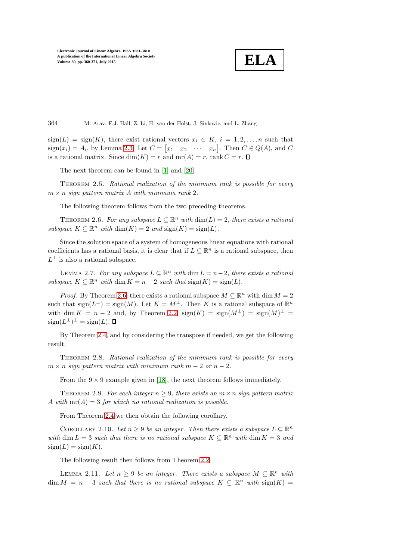**ELA**

364 M. Arav, F.J. Hall, Z. Li, H. van der Holst, J. Sinkovic, and L. Zhang

 $sign(L) = sign(K)$ , there exist rational vectors  $x_i \in K$ ,  $i = 1, 2, ..., n$  such that  $sign(x_i) = A_i$ , by Lemma [2.3.](#page-4-0) Let  $C = \begin{bmatrix} x_1 & x_2 & \cdots & x_n \end{bmatrix}$ . Then  $C \in Q(A)$ , and C is a rational matrix. Since  $\dim(K) = r$  and  $\text{mr}(A) = r$ ,  $\text{rank } C = r$ .

The next theorem can be found in [\[1\]](#page-11-1) and [\[20\]](#page-12-7).

Theorem 2.5. *Rational realization of the minimum rank is possible for every*  $m \times n$  *sign pattern matrix* A *with minimum rank* 2*.* 

<span id="page-5-0"></span>The following theorem follows from the two preceding theorems.

THEOREM 2.6. For any subspace  $L \subseteq \mathbb{R}^n$  with  $\dim(L) = 2$ , there exists a rational  $subspace K \subseteq \mathbb{R}^n$  *with*  $dim(K) = 2$  *and*  $sign(K) = sign(L)$ *.* 

Since the solution space of a system of homogeneous linear equations with rational coefficients has a rational basis, it is clear that if  $L \subseteq \mathbb{R}^n$  is a rational subspace, then  $L^{\perp}$  is also a rational subspace.

LEMMA 2.7. For any subspace  $L \subseteq \mathbb{R}^n$  with  $\dim L = n-2$ , there exists a rational *subspace*  $K \subseteq \mathbb{R}^n$  *with* dim  $K = n - 2$  *such that*  $sign(K) = sign(L)$ *.* 

*Proof.* By Theorem [2.6,](#page-5-0) there exists a rational subspace  $M \subseteq \mathbb{R}^n$  with dim  $M = 2$ such that  $sign(L^{\perp}) = sign(M)$ . Let  $K = M^{\perp}$ . Then K is a rational subspace of  $\mathbb{R}^{n}$ with dim  $K = n - 2$  and, by Theorem [2.2,](#page-4-1)  $sign(K) = sign(M^{\perp}) = sign(M)^{\perp}$  $sign(L^{\perp})^{\perp} = sign(L).$ 

<span id="page-5-2"></span>By Theorem [2.4,](#page-4-2) and by considering the transpose if needed, we get the following result.

Theorem 2.8. *Rational realization of the minimum rank is possible for every*  $m \times n$  *sign pattern matrix with minimum rank*  $m - 2$  *or*  $n - 2$ *.* 

From the  $9 \times 9$  example given in [\[18\]](#page-12-5), the next theorem follows immediately.

THEOREM 2.9. For each integer  $n \geq 9$ , there exists an  $m \times n$  sign pattern matrix A *with* mr(A) = 3 *for which no rational realization is possible.*

<span id="page-5-1"></span>From Theorem [2.4](#page-4-2) we then obtain the following corollary.

COROLLARY 2.10. Let  $n \geq 9$  be an integer. Then there exists a subspace  $L \subseteq \mathbb{R}^n$ *with* dim  $L = 3$  *such that there is no rational subspace*  $K \subseteq \mathbb{R}^n$  *with* dim  $K = 3$  *and*  $sign(L) = sign(K)$ .

The following result then follows from Theorem [2.2.](#page-4-1)

LEMMA 2.11. Let  $n \geq 9$  be an integer. There exists a subspace  $M \subseteq \mathbb{R}^n$  with  $\dim M = n - 3$  *such that there is no rational subspace*  $K \subseteq \mathbb{R}^n$  *with*  $sign(K) =$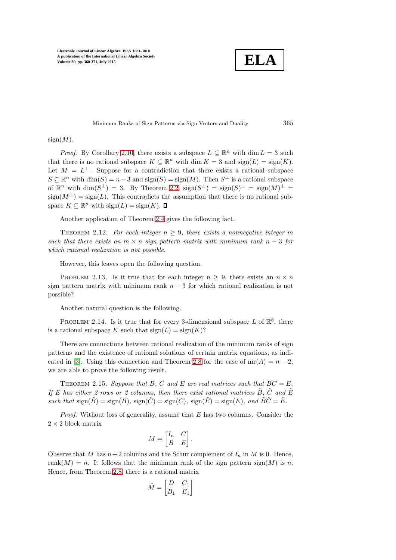**ELA**

Minimum Ranks of Sign Patterns via Sign Vectors and Duality 365

 $sign(M)$ .

*Proof.* By Corollary [2.10,](#page-5-1) there exists a subspace  $L \subseteq \mathbb{R}^n$  with  $\dim L = 3$  such that there is no rational subspace  $K \subseteq \mathbb{R}^n$  with  $\dim K = 3$  and  $\text{sign}(L) = \text{sign}(K)$ . Let  $M = L^{\perp}$ . Suppose for a contradiction that there exists a rational subspace  $S \subseteq \mathbb{R}^n$  with  $\dim(S) = n - 3$  and  $\text{sign}(S) = \text{sign}(M)$ . Then  $S^{\perp}$  is a rational subspace of  $\mathbb{R}^n$  with  $\dim(S^{\perp}) = 3$ . By Theorem [2.2,](#page-4-1)  $\text{sign}(S^{\perp}) = \text{sign}(S)^{\perp} = \text{sign}(M)^{\perp} =$  $sign(M^{\perp}) = sign(L)$ . This contradicts the assumption that there is no rational subspace  $K \subseteq \mathbb{R}^n$  with  $sign(L) = sign(K)$ .

Another application of Theorem [2.4](#page-4-2) gives the following fact.

THEOREM 2.12. For each integer  $n \geq 9$ , there exists a nonnegative integer m *such that there exists an*  $m \times n$  *sign pattern matrix with minimum rank*  $n-3$  *for which rational realization is not possible.*

However, this leaves open the following question.

PROBLEM 2.13. Is it true that for each integer  $n \geq 9$ , there exists an  $n \times n$ sign pattern matrix with minimum rank  $n-3$  for which rational realization is not possible?

Another natural question is the following.

PROBLEM 2.14. Is it true that for every 3-dimensional subspace L of  $\mathbb{R}^8$ , there is a rational subspace K such that  $sign(L) = sign(K)$ ?

There are connections between rational realization of the minimum ranks of sign patterns and the existence of rational solutions of certain matrix equations, as indi-cated in [\[3\]](#page-11-8). Using this connection and Theorem [2.8](#page-5-2) for the case of  $mr(A) = n - 2$ , we are able to prove the following result.

THEOREM 2.15. *Suppose that* B, C and E are real matrices such that  $BC = E$ . *If* E has either 2 rows or 2 columns, then there exist rational matrices  $\tilde{B}$ ,  $\tilde{C}$  and  $\tilde{E}$ *such that*  $sign(\tilde{B}) = sign(B)$ ,  $sign(\tilde{C}) = sign(C)$ ,  $sign(\tilde{E}) = sign(E)$ , and  $\tilde{B}\tilde{C} = \tilde{E}$ .

*Proof*. Without loss of generality, assume that E has two columns. Consider the  $2 \times 2$  block matrix

$$
M = \begin{bmatrix} I_n & C \\ B & E \end{bmatrix}.
$$

Observe that M has  $n+2$  columns and the Schur complement of  $I_n$  in M is 0. Hence, rank $(M) = n$ . It follows that the minimum rank of the sign pattern sign $(M)$  is n. Hence, from Theorem [2.8,](#page-5-2) there is a rational matrix

$$
\tilde{M} = \begin{bmatrix} D & C_1 \\ B_1 & E_1 \end{bmatrix}
$$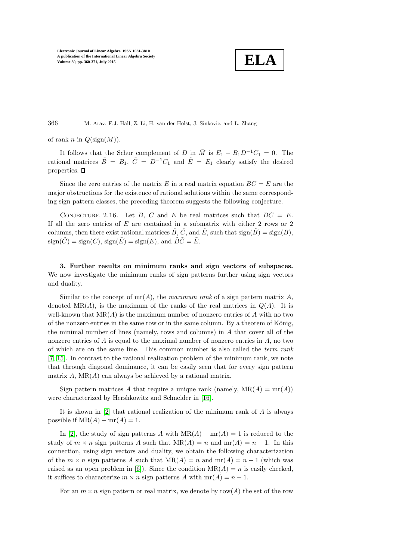**ELA**

366 M. Arav, F.J. Hall, Z. Li, H. van der Holst, J. Sinkovic, and L. Zhang

of rank n in  $Q(\text{sign}(M))$ .

It follows that the Schur complement of D in  $\tilde{M}$  is  $E_1 - B_1 D^{-1} C_1 = 0$ . The rational matrices  $\tilde{B} = B_1$ ,  $\tilde{C} = D^{-1}C_1$  and  $\tilde{E} = E_1$  clearly satisfy the desired properties.  $\square$ 

Since the zero entries of the matrix E in a real matrix equation  $BC = E$  are the major obstructions for the existence of rational solutions within the same corresponding sign pattern classes, the preceding theorem suggests the following conjecture.

CONJECTURE 2.16. Let B, C and E be real matrices such that  $BC = E$ . If all the zero entries of E are contained in a submatrix with either 2 rows or 2 columns, then there exist rational matrices  $\tilde{B}$ ,  $\tilde{C}$ , and  $\tilde{E}$ , such that  $sign(\tilde{B}) = sign(B)$ ,  $sign(\tilde{C}) = sign(C), sign(\tilde{E}) = sign(E), and \tilde{B}\tilde{C} = \tilde{E}.$ 

3. Further results on minimum ranks and sign vectors of subspaces. We now investigate the minimum ranks of sign patterns further using sign vectors and duality.

Similar to the concept of  $\text{mr}(A)$ , the *maximum rank* of a sign pattern matrix A, denoted  $MR(A)$ , is the maximum of the ranks of the real matrices in  $Q(A)$ . It is well-known that  $MR(A)$  is the maximum number of nonzero entries of A with no two of the nonzero entries in the same row or in the same column. By a theorem of König, the minimal number of lines (namely, rows and columns) in A that cover all of the nonzero entries of  $A$  is equal to the maximal number of nonzero entries in  $A$ , no two of which are on the same line. This common number is also called the *term rank* [\[7,](#page-11-9) [15\]](#page-12-0). In contrast to the rational realization problem of the minimum rank, we note that through diagonal dominance, it can be easily seen that for every sign pattern matrix  $A$ ,  $MR(A)$  can always be achieved by a rational matrix.

Sign pattern matrices A that require a unique rank (namely,  $MR(A) = mr(A)$ ) were characterized by Hershkowitz and Schneider in [\[16\]](#page-12-8).

It is shown in [\[2\]](#page-11-10) that rational realization of the minimum rank of A is always possible if  $MR(A) - mr(A) = 1$ .

In [\[2\]](#page-11-10), the study of sign patterns A with  $MR(A) - mr(A) = 1$  is reduced to the study of  $m \times n$  sign patterns A such that  $MR(A) = n$  and  $mr(A) = n - 1$ . In this connection, using sign vectors and duality, we obtain the following characterization of the  $m \times n$  sign patterns A such that  $MR(A) = n$  and  $mr(A) = n - 1$  (which was raised as an open problem in [\[6\]](#page-11-7)). Since the condition  $MR(A) = n$  is easily checked, it suffices to characterize  $m \times n$  sign patterns A with  $mr(A) = n - 1$ .

For an  $m \times n$  sign pattern or real matrix, we denote by row(A) the set of the row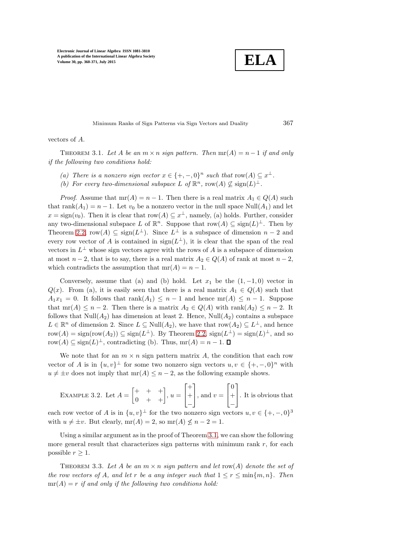**EL** 

Minimum Ranks of Sign Patterns via Sign Vectors and Duality 367

<span id="page-8-0"></span>vectors of A.

THEOREM 3.1. Let A be an  $m \times n$  sign pattern. Then  $mr(A) = n - 1$  if and only *if the following two conditions hold:*

- *(a)* There is a nonzero sign vector  $x \in \{+, -, 0\}^n$  such that row $(A) \subseteq x^{\perp}$ .
- *(b)* For every two-dimensional subspace L of  $\mathbb{R}^n$ , row $(A) \nsubseteq \text{sign}(L)^{\perp}$ .

*Proof.* Assume that  $mr(A) = n - 1$ . Then there is a real matrix  $A_1 \in Q(A)$  such that rank $(A_1) = n - 1$ . Let  $v_0$  be a nonzero vector in the null space Null $(A_1)$  and let  $x = sign(v_0)$ . Then it is clear that row $(A) \subseteq x^{\perp}$ , namely, (a) holds. Further, consider any two-dimensional subspace L of  $\mathbb{R}^n$ . Suppose that row $(A) \subseteq \text{sign}(L)^{\perp}$ . Then by Theorem [2.2,](#page-4-1) row $(A) \subseteq \text{sign}(L^{\perp})$ . Since  $L^{\perp}$  is a subspace of dimension  $n-2$  and every row vector of A is contained in  $sign(L^{\perp})$ , it is clear that the span of the real vectors in  $L^{\perp}$  whose sign vectors agree with the rows of A is a subspace of dimension at most  $n-2$ , that is to say, there is a real matrix  $A_2 \in Q(A)$  of rank at most  $n-2$ , which contradicts the assumption that  $mr(A) = n - 1$ .

Conversely, assume that (a) and (b) hold. Let  $x_1$  be the  $(1, -1, 0)$  vector in  $Q(x)$ . From (a), it is easily seen that there is a real matrix  $A_1 \in Q(A)$  such that  $A_1x_1 = 0$ . It follows that  $rank(A_1) \leq n-1$  and hence  $mr(A) \leq n-1$ . Suppose that mr(A)  $\leq n-2$ . Then there is a matrix  $A_2 \in Q(A)$  with rank $(A_2) \leq n-2$ . It follows that  $\text{Null}(A_2)$  has dimension at least 2. Hence,  $\text{Null}(A_2)$  contains a subspace  $L \in \mathbb{R}^n$  of dimension 2. Since  $L \subseteq Null(A_2)$ , we have that  $row(A_2) \subseteq L^{\perp}$ , and hence row $(A) = \text{sign}(\text{row}(A_2)) \subseteq \text{sign}(L^{\perp})$ . By Theorem [2.2,](#page-4-1)  $\text{sign}(L^{\perp}) = \text{sign}(L)^{\perp}$ , and so row $(A) \subseteq \text{sign}(L)^{\perp}$ , contradicting (b). Thus, mr $(A) = n - 1$ .

We note that for an  $m \times n$  sign pattern matrix A, the condition that each row vector of A is in  $\{u, v\}^{\perp}$  for some two nonzero sign vectors  $u, v \in \{+,-,0\}^n$  with  $u \neq \pm v$  does not imply that  $mr(A) \leq n-2$ , as the following example shows.

EXAMPLE 3.2. Let 
$$
A = \begin{bmatrix} + & + & + \\ 0 & + & + \end{bmatrix}
$$
,  $u = \begin{bmatrix} + \\ + \\ - \end{bmatrix}$ , and  $v = \begin{bmatrix} 0 \\ + \\ - \end{bmatrix}$ . It is obvious that

each row vector of A is in  $\{u, v\}^{\perp}$  for the two nonzero sign vectors  $u, v \in \{+,-,0\}^3$ with  $u \neq \pm v$ . But clearly,  $mr(A) = 2$ , so  $mr(A) \nleq n - 2 = 1$ .

Using a similar argument as in the proof of Theorem [3.1,](#page-8-0) we can show the following more general result that characterizes sign patterns with minimum rank  $r$ , for each possible  $r > 1$ .

THEOREM 3.3. Let A be an  $m \times n$  sign pattern and let row(A) denote the set of *the row vectors of* A, and let r be a any integer such that  $1 \leq r \leq \min\{m, n\}$ . Then  $mr(A) = r$  *if and only if the following two conditions hold:*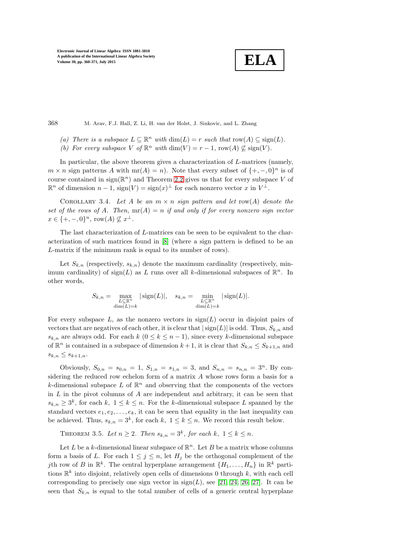**ELA**

368 M. Arav, F.J. Hall, Z. Li, H. van der Holst, J. Sinkovic, and L. Zhang

- *(a)* There is a subspace  $L \subseteq \mathbb{R}^n$  with  $\dim(L) = r$  such that  $row(A) \subseteq sign(L)$ .
- *(b)* For every subspace V of  $\mathbb{R}^n$  with  $\dim(V) = r 1$ , row $(A) \not\subseteq \text{sign}(V)$ .

In particular, the above theorem gives a characterization of L-matrices (namely,  $m \times n$  sign patterns A with mr(A) = n). Note that every subset of  $\{+,-,0\}^n$  is of course contained in  $sign(\mathbb{R}^n)$  and Theorem [2.2](#page-4-1) gives us that for every subspace V of  $\mathbb{R}^n$  of dimension  $n-1$ ,  $\text{sign}(V) = \text{sign}(x)$ <sup> $\perp$ </sup> for each nonzero vector x in  $V^{\perp}$ .

COROLLARY 3.4. Let A be an  $m \times n$  *sign pattern and let* row(A) *denote the set of the rows of A. Then,*  $mr(A) = n$  *if and only if for every nonzero sign vector*  $x \in \{+, -, 0\}^n$ , row $(A) \nsubseteq x^{\perp}$ .

The last characterization of L-matrices can be seen to be equivalent to the characterization of such matrices found in [\[8\]](#page-11-0) (where a sign pattern is defined to be an L-matrix if the minimum rank is equal to its number of rows).

Let  $S_{k,n}$  (respectively,  $s_{k,n}$ ) denote the maximum cardinality (respectively, minimum cardinality) of  $sign(L)$  as L runs over all k-dimensional subspaces of  $\mathbb{R}^n$ . In other words,

$$
S_{k,n} = \max_{\substack{L \subseteq \mathbb{R}^n \\ \dim(L) = k}} |\operatorname{sign}(L)|, \quad s_{k,n} = \min_{\substack{L \subseteq \mathbb{R}^n \\ \dim(L) = k}} |\operatorname{sign}(L)|.
$$

For every subspace  $L$ , as the nonzero vectors in  $sign(L)$  occur in disjoint pairs of vectors that are negatives of each other, it is clear that  $|\text{sign}(L)|$  is odd. Thus,  $S_{k,n}$  and  $s_{k,n}$  are always odd. For each  $k$   $(0 \leq k \leq n-1)$ , since every k-dimensional subspace of  $\mathbb{R}^n$  is contained in a subspace of dimension  $k+1$ , it is clear that  $S_{k,n} \leq S_{k+1,n}$  and  $s_{k,n} \leq s_{k+1,n}$ .

Obviously,  $S_{0,n} = s_{0,n} = 1$ ,  $S_{1,n} = s_{1,n} = 3$ , and  $S_{n,n} = s_{n,n} = 3^n$ . By considering the reduced row echelon form of a matrix A whose rows form a basis for a k-dimensional subspace L of  $\mathbb{R}^n$  and observing that the components of the vectors in  $L$  in the pivot columns of  $A$  are independent and arbitrary, it can be seen that  $s_{k,n} \geq 3^k$ , for each k,  $1 \leq k \leq n$ . For the k-dimensional subspace L spanned by the standard vectors  $e_1, e_2, \ldots, e_k$ , it can be seen that equality in the last inequality can be achieved. Thus,  $s_{k,n} = 3^k$ , for each k,  $1 \leq k \leq n$ . We record this result below.

THEOREM 3.5. Let  $n \geq 2$ . Then  $s_{k,n} = 3^k$ , for each  $k, 1 \leq k \leq n$ .

Let L be a k-dimensional linear subspace of  $\mathbb{R}^n$ . Let B be a matrix whose columns form a basis of L. For each  $1 \leq j \leq n$ , let  $H_j$  be the orthogonal complement of the jth row of B in  $\mathbb{R}^k$ . The central hyperplane arrangement  $\{H_1, \ldots, H_n\}$  in  $\mathbb{R}^k$  partitions  $\mathbb{R}^k$  into disjoint, relatively open cells of dimensions 0 through k, with each cell corresponding to precisely one sign vector in  $sign(L)$ , see [\[21,](#page-12-9) [24,](#page-12-10) [26,](#page-12-11) [27\]](#page-12-3). It can be seen that  $S_{k,n}$  is equal to the total number of cells of a generic central hyperplane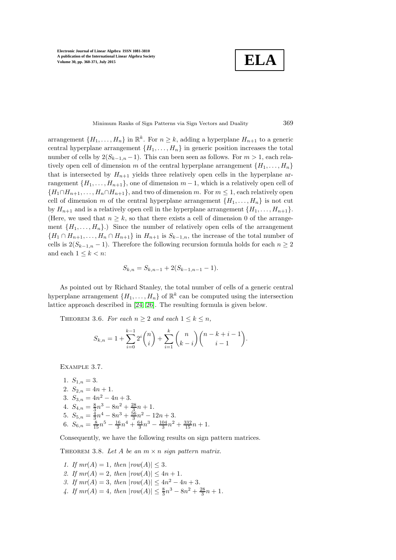**ELA**

Minimum Ranks of Sign Patterns via Sign Vectors and Duality 369

arrangement  $\{H_1, \ldots, H_n\}$  in  $\mathbb{R}^k$ . For  $n \geq k$ , adding a hyperplane  $H_{n+1}$  to a generic central hyperplane arrangement  $\{H_1, \ldots, H_n\}$  in generic position increases the total number of cells by  $2(S_{k-1,n}-1)$ . This can been seen as follows. For  $m > 1$ , each relatively open cell of dimension m of the central hyperplane arrangement  $\{H_1, \ldots, H_n\}$ that is intersected by  $H_{n+1}$  yields three relatively open cells in the hyperplane arrangement  $\{H_1, \ldots, H_{n+1}\}$ , one of dimension  $m-1$ , which is a relatively open cell of  ${H_1 \cap H_{n+1}, \ldots, H_n \cap H_{n+1}}$ , and two of dimension m. For  $m \leq 1$ , each relatively open cell of dimension m of the central hyperplane arrangement  $\{H_1, \ldots, H_n\}$  is not cut by  $H_{n+1}$  and is a relatively open cell in the hyperplane arrangement  $\{H_1, \ldots, H_{n+1}\}.$ (Here, we used that  $n \geq k$ , so that there exists a cell of dimension 0 of the arrangement  $\{H_1, \ldots, H_n\}$ .) Since the number of relatively open cells of the arrangement  ${H_1 \cap H_{n+1}, \ldots, H_n \cap H_{n+1}}$  in  $H_{n+1}$  is  $S_{k-1,n}$ , the increase of the total number of cells is  $2(S_{k-1,n}-1)$ . Therefore the following recursion formula holds for each  $n \geq 2$ and each  $1 \leq k < n$ :

$$
S_{k,n} = S_{k,n-1} + 2(S_{k-1,n-1} - 1).
$$

<span id="page-10-0"></span>As pointed out by Richard Stanley, the total number of cells of a generic central hyperplane arrangement  $\{H_1, \ldots, H_n\}$  of  $\mathbb{R}^k$  can be computed using the intersection lattice approach described in [\[24,](#page-12-10) [26\]](#page-12-11). The resulting formula is given below.

THEOREM 3.6. For each  $n \geq 2$  and each  $1 \leq k \leq n$ ,

$$
S_{k,n} = 1 + \sum_{i=0}^{k-1} 2^i \binom{n}{i} + \sum_{i=1}^k \binom{n}{k-i} \binom{n-k+i-1}{i-1}.
$$

Example 3.7.

1.  $S_{1,n} = 3$ . 2.  $S_{2,n} = 4n + 1$ . 3.  $S_{3,n} = 4n^2 - 4n + 3$ . 4.  $S_{4,n} = \frac{8}{3}n^3 - 8n^2 + \frac{28}{3}n + 1.$ 5.  $S_{5,n} = \frac{4}{3}n^4 - 8n^3 + \frac{56}{3}n^2 - 12n + 3.$ 6.  $S_{6,n} = \frac{8}{15}n^5 - \frac{16}{3}n^4 + \frac{64}{3}n^3 - \frac{104}{3}n^2 + \frac{332}{15}n + 1.$ 

Consequently, we have the following results on sign pattern matrices.

THEOREM 3.8. Let A be an  $m \times n$  *sign pattern matrix.* 

*1.* If  $mr(A) = 1$ , then  $|row(A)| \leq 3$ . 2. If  $mr(A) = 2$ , then  $|row(A)| \leq 4n + 1$ . *3.* If  $mr(A) = 3$ , then  $|row(A)| \leq 4n^2 - 4n + 3$ . 4. If  $mr(A) = 4$ , then  $|row(A)| \leq \frac{8}{3}n^3 - 8n^2 + \frac{28}{3}n + 1$ .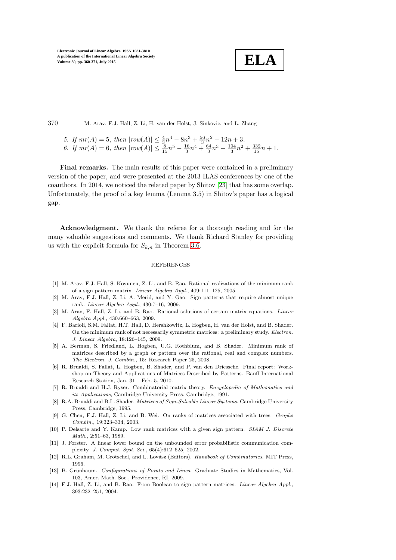**ELA**

370 M. Arav, F.J. Hall, Z. Li, H. van der Holst, J. Sinkovic, and L. Zhang

5. If  $mr(A) = 5$ , then  $|row(A)| \leq \frac{4}{3}n^4 - 8n^3 + \frac{56}{3}n^2 - 12n + 3$ . 6. If  $mr(A) = 6$ , then  $|row(A)| \leq \frac{8}{15}n^5 - \frac{16}{3}n^4 + \frac{64}{3}n^3 - \frac{104}{3}n^2 + \frac{332}{15}n + 1$ .

Final remarks. The main results of this paper were contained in a preliminary version of the paper, and were presented at the 2013 ILAS conferences by one of the coauthors. In 2014, we noticed the related paper by Shitov [\[23\]](#page-12-12) that has some overlap. Unfortunately, the proof of a key lemma (Lemma 3.5) in Shitov's paper has a logical gap.

Acknowledgment. We thank the referee for a thorough reading and for the many valuable suggestions and comments. We thank Richard Stanley for providing us with the explicit formula for  $S_{k,n}$  in Theorem [3.6.](#page-10-0)

#### REFERENCES

- <span id="page-11-1"></span>[1] M. Arav, F.J. Hall, S. Koyuncu, Z. Li, and B. Rao. Rational realizations of the minimum rank of a sign pattern matrix. Linear Algebra Appl., 409:111–125, 2005.
- <span id="page-11-10"></span>[2] M. Arav, F.J. Hall, Z. Li, A. Merid, and Y. Gao. Sign patterns that require almost unique rank. Linear Algebra Appl., 430:7–16, 2009.
- <span id="page-11-8"></span>[3] M. Arav, F. Hall, Z. Li, and B. Rao. Rational solutions of certain matrix equations. Linear Algebra Appl., 430:660–663, 2009.
- [4] F. Barioli, S.M. Fallat, H.T. Hall, D. Hershkowitz, L. Hogben, H. van der Holst, and B. Shader. On the minimum rank of not necessarily symmetric matrices: a preliminary study. Electron. J. Linear Algebra, 18:126–145, 2009.
- <span id="page-11-6"></span>[5] A. Berman, S. Friedland, L. Hogben, U.G. Rothblum, and B. Shader. Minimum rank of matrices described by a graph or pattern over the rational, real and complex numbers. The Electron. J. Combin., 15: Research Paper 25, 2008.
- <span id="page-11-7"></span>[6] R. Brualdi, S. Fallat, L. Hogben, B. Shader, and P. van den Driessche. Final report: Workshop on Theory and Applications of Matrices Described by Patterns. Banff International Research Station, Jan. 31 – Feb. 5, 2010.
- <span id="page-11-9"></span>[7] R. Brualdi and H.J. Ryser. Combinatorial matrix theory. Encyclopedia of Mathematics and its Applications, Cambridge University Press, Cambridge, 1991.
- <span id="page-11-0"></span>[8] R.A. Brualdi and B.L. Shader. Matrices of Sign-Solvable Linear Systems. Cambridge University Press, Cambridge, 1995.
- [9] G. Chen, F.J. Hall, Z. Li, and B. Wei. On ranks of matrices associated with trees. Graphs Combin., 19:323–334, 2003.
- <span id="page-11-4"></span>[10] P. Delsarte and Y. Kamp. Low rank matrices with a given sign pattern. SIAM J. Discrete Math., 2:51–63, 1989.
- [11] J. Forster. A linear lower bound on the unbounded error probabilistic communication complexity. J. Comput. Syst. Sci., 65(4):612–625, 2002.
- <span id="page-11-2"></span>[12] R.L. Graham, M. Grötschel, and L. Lovász (Editors). Handbook of Combinatorics. MIT Press, 1996.
- <span id="page-11-5"></span>[13] B. Grünbaum. Configurations of Points and Lines. Graduate Studies in Mathematics, Vol. 103, Amer. Math. Soc., Providence, RI, 2009.
- <span id="page-11-3"></span>[14] F.J. Hall, Z. Li, and B. Rao. From Boolean to sign pattern matrices. *Linear Algebra Appl.*, 393:232–251, 2004.